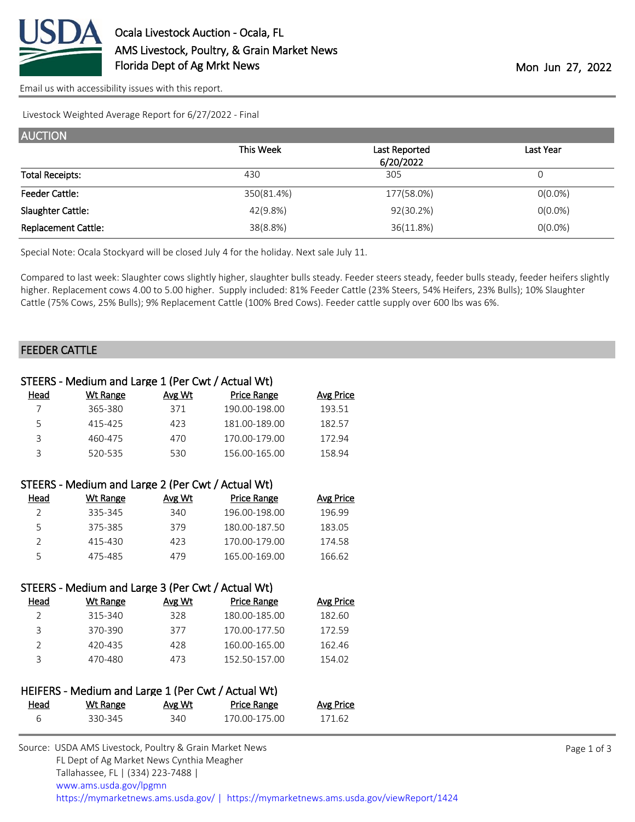

[Email us with accessibility issues with this report.](mailto:mars@ams.usda.gov?subject=508%20issue)

Livestock Weighted Average Report for 6/27/2022 - Final

| <b>AUCTION</b>             |            |               |            |
|----------------------------|------------|---------------|------------|
|                            | This Week  | Last Reported | Last Year  |
|                            |            | 6/20/2022     |            |
| <b>Total Receipts:</b>     | 430        | 305           | 0          |
| <b>Feeder Cattle:</b>      | 350(81.4%) | 177(58.0%)    | $O(0.0\%)$ |
| Slaughter Cattle:          | 42(9.8%)   | 92(30.2%)     | $O(0.0\%)$ |
| <b>Replacement Cattle:</b> | 38(8.8%)   | 36(11.8%)     | $O(0.0\%)$ |

Special Note: Ocala Stockyard will be closed July 4 for the holiday. Next sale July 11.

Compared to last week: Slaughter cows slightly higher, slaughter bulls steady. Feeder steers steady, feeder bulls steady, feeder heifers slightly higher. Replacement cows 4.00 to 5.00 higher. Supply included: 81% Feeder Cattle (23% Steers, 54% Heifers, 23% Bulls); 10% Slaughter Cattle (75% Cows, 25% Bulls); 9% Replacement Cattle (100% Bred Cows). Feeder cattle supply over 600 lbs was 6%.

#### FEEDER CATTLE

|                | STEERS - Medium and Large 1 (Per Cwt / Actual Wt)  |               |                    |                  |  |
|----------------|----------------------------------------------------|---------------|--------------------|------------------|--|
| <u>Head</u>    | <b>Wt Range</b>                                    | Avg Wt        | <b>Price Range</b> | <b>Avg Price</b> |  |
| $\overline{7}$ | 365-380                                            | 371           | 190.00-198.00      | 193.51           |  |
| 5              | 415-425                                            | 423           | 181.00-189.00      | 182.57           |  |
| 3              | 460-475                                            | 470           | 170.00-179.00      | 172.94           |  |
| 3              | 520-535                                            | 530           | 156.00-165.00      | 158.94           |  |
|                |                                                    |               |                    |                  |  |
|                | STEERS - Medium and Large 2 (Per Cwt / Actual Wt)  |               |                    |                  |  |
| Head           | <b>Wt Range</b>                                    | <b>Avg Wt</b> | <b>Price Range</b> | <b>Avg Price</b> |  |
| $\overline{2}$ | 335-345                                            | 340           | 196.00-198.00      | 196.99           |  |
| 5              | 375-385                                            | 379           | 180.00-187.50      | 183.05           |  |
| $\overline{2}$ | 415-430                                            | 423           | 170.00-179.00      | 174.58           |  |
| 5              | 475-485                                            | 479           | 165.00-169.00      | 166.62           |  |
|                |                                                    |               |                    |                  |  |
|                | STEERS - Medium and Large 3 (Per Cwt / Actual Wt)  |               |                    |                  |  |
| Head           | <b>Wt Range</b>                                    | Avg Wt        | <b>Price Range</b> | <b>Avg Price</b> |  |
| $\overline{2}$ | 315-340                                            | 328           | 180.00-185.00      | 182.60           |  |
| 3              | 370-390                                            | 377           | 170.00-177.50      | 172.59           |  |
| $\overline{2}$ | 420-435                                            | 428           | 160.00-165.00      | 162.46           |  |
| 3              | 470-480                                            | 473           | 152.50-157.00      | 154.02           |  |
|                |                                                    |               |                    |                  |  |
|                | HEIFERS - Medium and Large 1 (Per Cwt / Actual Wt) |               |                    |                  |  |
| <u>Head</u>    | Wt Range                                           | Avg Wt        | <b>Price Range</b> | <b>Avg Price</b> |  |
| 6              | 330-345                                            | 340           | 170.00-175.00      | 171.62           |  |
|                |                                                    |               |                    |                  |  |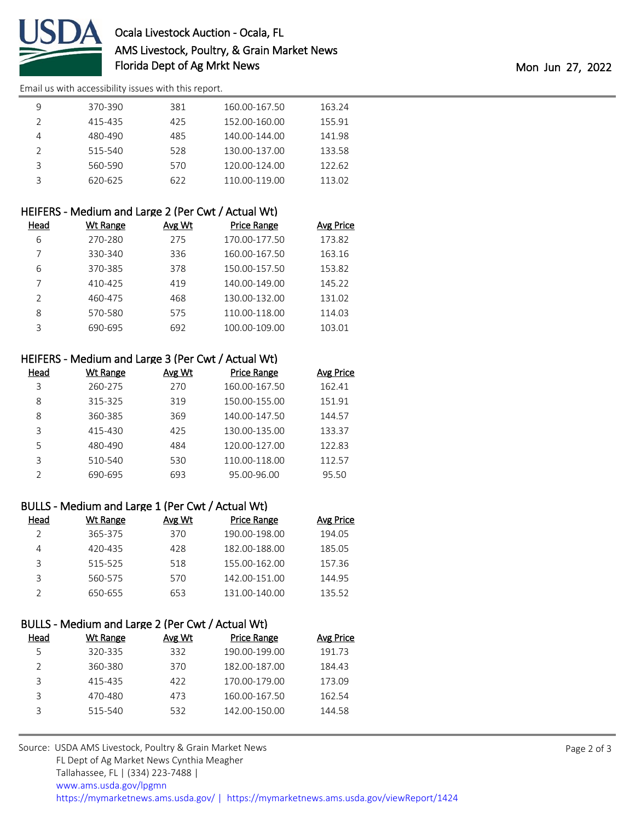

# Ocala Livestock Auction - Ocala, FL AMS Livestock, Poultry, & Grain Market News Florida Dept of Ag Mrkt News **Mon 27, 2022**

[Email us with accessibility issues with this report.](mailto:mars@ams.usda.gov?subject=508%20issue)

| 370-390 | 381 | 160.00-167.50 | 163.24 |
|---------|-----|---------------|--------|
| 415-435 | 425 | 152.00-160.00 | 155.91 |
| 480-490 | 485 | 140.00-144.00 | 141.98 |
| 515-540 | 528 | 130.00-137.00 | 133.58 |
| 560-590 | 570 | 120.00-124.00 | 122.62 |
| 620-625 | 622 | 110.00-119.00 | 113.02 |

|                | HEIFERS - Medium and Large 2 (Per Cwt / Actual Wt) |        |                    |                  |
|----------------|----------------------------------------------------|--------|--------------------|------------------|
| Head           | <b>Wt Range</b>                                    | Avg Wt | <b>Price Range</b> | <b>Avg Price</b> |
| 6              | 270-280                                            | 275    | 170.00-177.50      | 173.82           |
|                | 330-340                                            | 336    | 160.00-167.50      | 163.16           |
| 6              | 370-385                                            | 378    | 150.00-157.50      | 153.82           |
|                | 410-425                                            | 419    | 140.00-149.00      | 145.22           |
| $\mathfrak{D}$ | 460-475                                            | 468    | 130.00-132.00      | 131.02           |
| 8              | 570-580                                            | 575    | 110.00-118.00      | 114.03           |
| 3              | 690-695                                            | 692    | 100.00-109.00      | 103.01           |

## HEIFERS - Medium and Large 3 (Per Cwt / Actual Wt)

| Head | Wt Range | Avg Wt | <b>Price Range</b> | <b>Avg Price</b> |
|------|----------|--------|--------------------|------------------|
| 3    | 260-275  | 270    | 160.00-167.50      | 162.41           |
| 8    | 315-325  | 319    | 150.00-155.00      | 151.91           |
| 8    | 360-385  | 369    | 140.00-147.50      | 144.57           |
| ς    | 415-430  | 425    | 130.00-135.00      | 133.37           |
| 5    | 480-490  | 484    | 120.00-127.00      | 122.83           |
| ς    | 510-540  | 530    | 110.00-118.00      | 112.57           |
|      | 690-695  | 693    | 95.00-96.00        | 95.50            |

### BULLS - Medium and Large 1 (Per Cwt / Actual Wt)

| Head | Wt Range | Avg Wt | Price Range   | <b>Avg Price</b> |
|------|----------|--------|---------------|------------------|
|      | 365-375  | 370    | 190.00-198.00 | 194.05           |
| 4    | 420-435  | 428    | 182.00-188.00 | 185.05           |
| 3    | 515-525  | 518    | 155.00-162.00 | 157.36           |
|      | 560-575  | 570    | 142.00-151.00 | 144.95           |
|      | 650-655  | 653    | 131.00-140.00 | 135.52           |

### BULLS - Medium and Large 2 (Per Cwt / Actual Wt)

| Head | Wt Range | Avg Wt | Price Range   | Avg Price |
|------|----------|--------|---------------|-----------|
| 5    | 320-335  | 332    | 190.00-199.00 | 191.73    |
|      | 360-380  | 370    | 182.00-187.00 | 184.43    |
| 3    | 415-435  | 422    | 170.00-179.00 | 173.09    |
| 3    | 470-480  | 473    | 160.00-167.50 | 162.54    |
| 3    | 515-540  | 532    | 142.00-150.00 | 144.58    |
|      |          |        |               |           |

| https://mymarketnews.ams.usda.gov/   https://mymarketnews.ams.usda.gov/viewReport/1424 |
|----------------------------------------------------------------------------------------|
|                                                                                        |